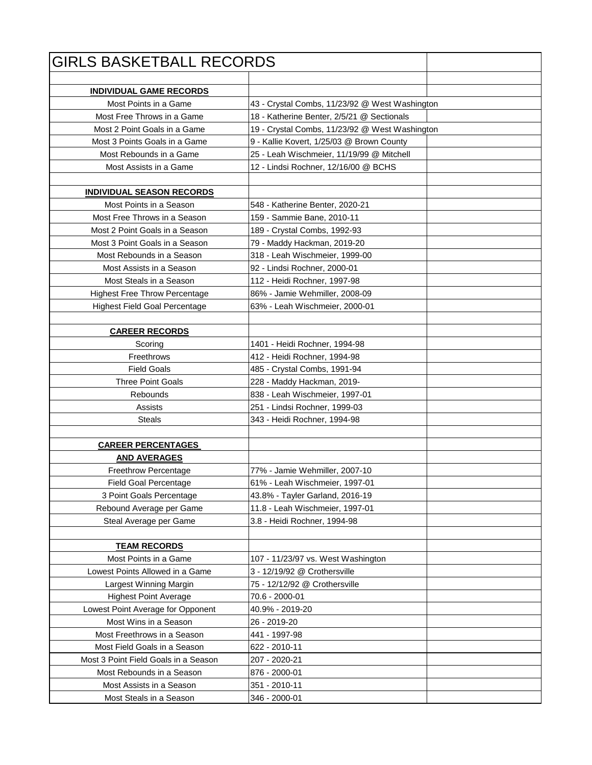| <b>GIRLS BASKETBALL RECORDS</b>      |                                                |  |
|--------------------------------------|------------------------------------------------|--|
|                                      |                                                |  |
| <b>INDIVIDUAL GAME RECORDS</b>       |                                                |  |
| Most Points in a Game                | 43 - Crystal Combs, 11/23/92 @ West Washington |  |
| Most Free Throws in a Game           | 18 - Katherine Benter, 2/5/21 @ Sectionals     |  |
| Most 2 Point Goals in a Game         | 19 - Crystal Combs, 11/23/92 @ West Washington |  |
| Most 3 Points Goals in a Game        | 9 - Kallie Kovert, 1/25/03 @ Brown County      |  |
| Most Rebounds in a Game              | 25 - Leah Wischmeier, 11/19/99 @ Mitchell      |  |
| Most Assists in a Game               | 12 - Lindsi Rochner, 12/16/00 @ BCHS           |  |
|                                      |                                                |  |
| <b>INDIVIDUAL SEASON RECORDS</b>     |                                                |  |
| Most Points in a Season              | 548 - Katherine Benter, 2020-21                |  |
| Most Free Throws in a Season         | 159 - Sammie Bane, 2010-11                     |  |
| Most 2 Point Goals in a Season       | 189 - Crystal Combs, 1992-93                   |  |
| Most 3 Point Goals in a Season       | 79 - Maddy Hackman, 2019-20                    |  |
| Most Rebounds in a Season            | 318 - Leah Wischmeier, 1999-00                 |  |
| Most Assists in a Season             | 92 - Lindsi Rochner, 2000-01                   |  |
| Most Steals in a Season              | 112 - Heidi Rochner, 1997-98                   |  |
| <b>Highest Free Throw Percentage</b> | 86% - Jamie Wehmiller, 2008-09                 |  |
| <b>Highest Field Goal Percentage</b> | 63% - Leah Wischmeier, 2000-01                 |  |
|                                      |                                                |  |
| <b>CAREER RECORDS</b>                |                                                |  |
| Scoring                              | 1401 - Heidi Rochner, 1994-98                  |  |
| Freethrows                           | 412 - Heidi Rochner, 1994-98                   |  |
| <b>Field Goals</b>                   | 485 - Crystal Combs, 1991-94                   |  |
| <b>Three Point Goals</b>             | 228 - Maddy Hackman, 2019-                     |  |
| Rebounds                             | 838 - Leah Wischmeier, 1997-01                 |  |
| Assists                              | 251 - Lindsi Rochner, 1999-03                  |  |
| <b>Steals</b>                        | 343 - Heidi Rochner, 1994-98                   |  |
|                                      |                                                |  |
| <b>CAREER PERCENTAGES</b>            |                                                |  |
| <b>AND AVERAGES</b>                  |                                                |  |
| Freethrow Percentage                 | 77% - Jamie Wehmiller, 2007-10                 |  |
| <b>Field Goal Percentage</b>         | 61% - Leah Wischmeier, 1997-01                 |  |
| 3 Point Goals Percentage             | 43.8% - Tayler Garland, 2016-19                |  |
| Rebound Average per Game             | 11.8 - Leah Wischmeier, 1997-01                |  |
| Steal Average per Game               | 3.8 - Heidi Rochner, 1994-98                   |  |
|                                      |                                                |  |
| <b>TEAM RECORDS</b>                  |                                                |  |
| Most Points in a Game                | 107 - 11/23/97 vs. West Washington             |  |
| Lowest Points Allowed in a Game      | 3 - 12/19/92 @ Crothersville                   |  |
| Largest Winning Margin               | 75 - 12/12/92 @ Crothersville                  |  |
| <b>Highest Point Average</b>         | 70.6 - 2000-01                                 |  |
| Lowest Point Average for Opponent    | 40.9% - 2019-20                                |  |
| Most Wins in a Season                | 26 - 2019-20                                   |  |
| Most Freethrows in a Season          | 441 - 1997-98                                  |  |
| Most Field Goals in a Season         | 622 - 2010-11                                  |  |
| Most 3 Point Field Goals in a Season | 207 - 2020-21                                  |  |
| Most Rebounds in a Season            | 876 - 2000-01                                  |  |
| Most Assists in a Season             | 351 - 2010-11                                  |  |
| Most Steals in a Season              | 346 - 2000-01                                  |  |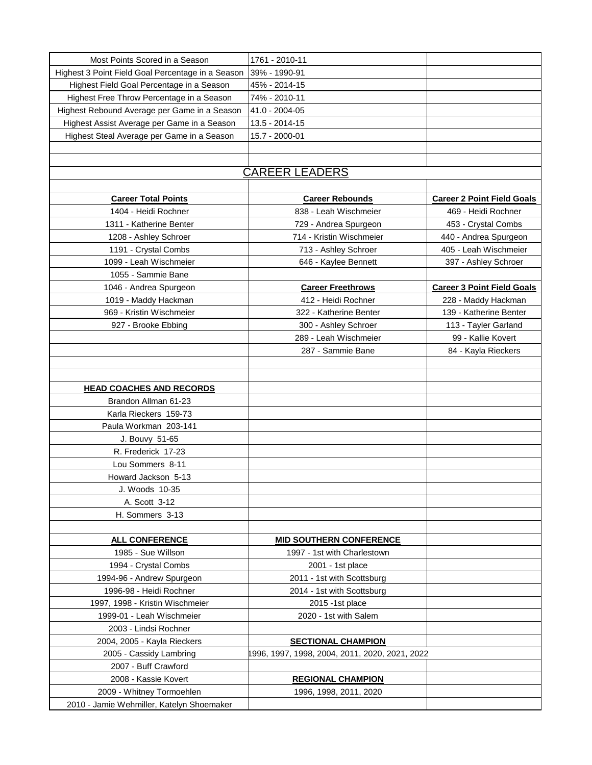| Most Points Scored in a Season                    | 1761 - 2010-11                                 |                                   |
|---------------------------------------------------|------------------------------------------------|-----------------------------------|
| Highest 3 Point Field Goal Percentage in a Season | 39% - 1990-91                                  |                                   |
| Highest Field Goal Percentage in a Season         | 45% - 2014-15                                  |                                   |
| Highest Free Throw Percentage in a Season         | 74% - 2010-11                                  |                                   |
| Highest Rebound Average per Game in a Season      | 41.0 - 2004-05                                 |                                   |
| Highest Assist Average per Game in a Season       | 13.5 - 2014-15                                 |                                   |
| Highest Steal Average per Game in a Season        | 15.7 - 2000-01                                 |                                   |
|                                                   |                                                |                                   |
|                                                   |                                                |                                   |
|                                                   | <b>CAREER LEADERS</b>                          |                                   |
|                                                   |                                                |                                   |
| <b>Career Total Points</b>                        | <b>Career Rebounds</b>                         | <b>Career 2 Point Field Goals</b> |
| 1404 - Heidi Rochner                              | 838 - Leah Wischmeier                          | 469 - Heidi Rochner               |
| 1311 - Katherine Benter                           | 729 - Andrea Spurgeon                          | 453 - Crystal Combs               |
| 1208 - Ashley Schroer                             | 714 - Kristin Wischmeier                       | 440 - Andrea Spurgeon             |
| 1191 - Crystal Combs                              | 713 - Ashley Schroer                           | 405 - Leah Wischmeier             |
| 1099 - Leah Wischmeier                            | 646 - Kaylee Bennett                           | 397 - Ashley Schroer              |
| 1055 - Sammie Bane                                |                                                |                                   |
| 1046 - Andrea Spurgeon                            | <b>Career Freethrows</b>                       | <b>Career 3 Point Field Goals</b> |
| 1019 - Maddy Hackman                              | 412 - Heidi Rochner                            | 228 - Maddy Hackman               |
| 969 - Kristin Wischmeier                          | 322 - Katherine Benter                         | 139 - Katherine Benter            |
| 927 - Brooke Ebbing                               | 300 - Ashley Schroer                           | 113 - Tayler Garland              |
|                                                   | 289 - Leah Wischmeier                          | 99 - Kallie Kovert                |
|                                                   | 287 - Sammie Bane                              | 84 - Kayla Rieckers               |
|                                                   |                                                |                                   |
|                                                   |                                                |                                   |
| <b>HEAD COACHES AND RECORDS</b>                   |                                                |                                   |
| Brandon Allman 61-23                              |                                                |                                   |
| Karla Rieckers 159-73                             |                                                |                                   |
| Paula Workman 203-141                             |                                                |                                   |
| J. Bouvy 51-65                                    |                                                |                                   |
| R. Frederick 17-23                                |                                                |                                   |
| Lou Sommers 8-11                                  |                                                |                                   |
|                                                   |                                                |                                   |
| Howard Jackson 5-13                               |                                                |                                   |
| J. Woods 10-35                                    |                                                |                                   |
|                                                   |                                                |                                   |
| A. Scott 3-12                                     |                                                |                                   |
| H. Sommers 3-13                                   |                                                |                                   |
|                                                   |                                                |                                   |
| <b>ALL CONFERENCE</b>                             | <b>MID SOUTHERN CONFERENCE</b>                 |                                   |
| 1985 - Sue Willson                                | 1997 - 1st with Charlestown                    |                                   |
| 1994 - Crystal Combs                              | 2001 - 1st place                               |                                   |
| 1994-96 - Andrew Spurgeon                         | 2011 - 1st with Scottsburg                     |                                   |
| 1996-98 - Heidi Rochner                           | 2014 - 1st with Scottsburg                     |                                   |
| 1997, 1998 - Kristin Wischmeier                   | 2015 -1st place                                |                                   |
| 1999-01 - Leah Wischmeier                         | 2020 - 1st with Salem                          |                                   |
| 2003 - Lindsi Rochner                             |                                                |                                   |
| 2004, 2005 - Kayla Rieckers                       | <b>SECTIONAL CHAMPION</b>                      |                                   |
| 2005 - Cassidy Lambring                           | 1996, 1997, 1998, 2004, 2011, 2020, 2021, 2022 |                                   |
| 2007 - Buff Crawford                              |                                                |                                   |
| 2008 - Kassie Kovert                              | <b>REGIONAL CHAMPION</b>                       |                                   |
| 2009 - Whitney Tormoehlen                         | 1996, 1998, 2011, 2020                         |                                   |